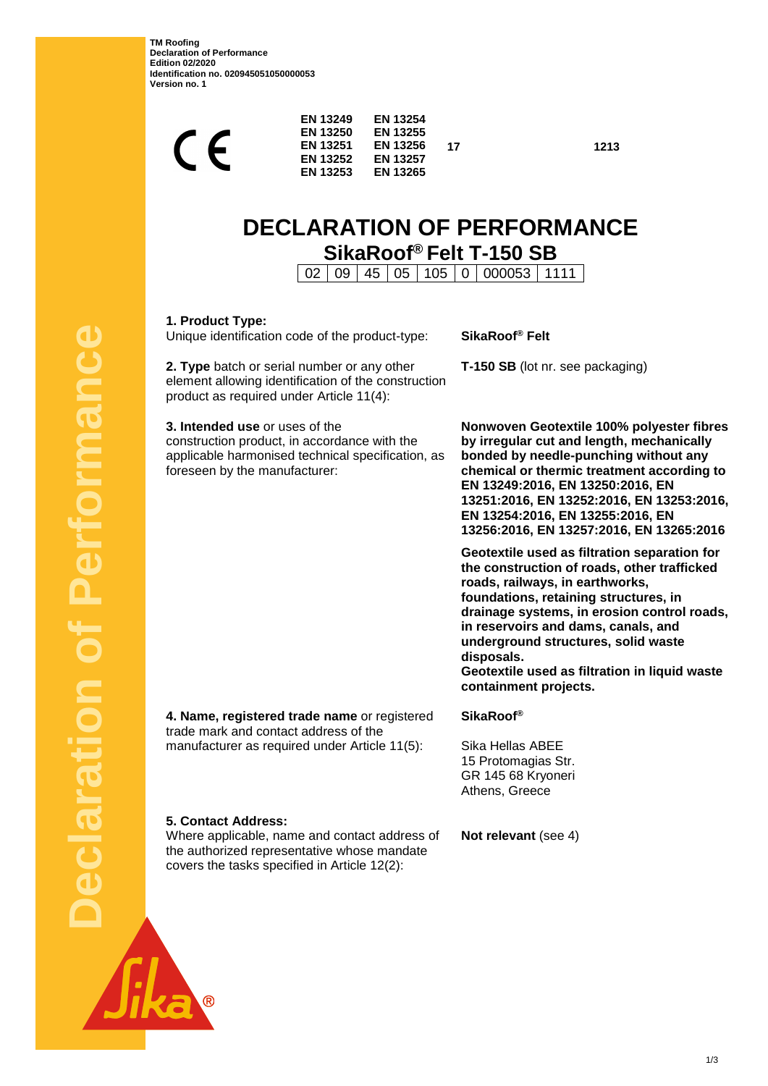**TM Roofing Declaration of Performance Edition 02/2020 Identification no. 020945051050000053 Version no. 1**

> $\sqrt{ }$  $\mathscr{C}$

**EN 13249 EN 13250**

**EN 13254 EN 13255**

| <b>EN 13251</b><br>EN 13256<br>EN 13252<br><b>EN 13257</b><br><b>EN 13253</b><br><b>EN 13265</b>                                                                           | 1213<br>17                                                                                                                                                                                                                                                                                                                                                                                   |  |  |
|----------------------------------------------------------------------------------------------------------------------------------------------------------------------------|----------------------------------------------------------------------------------------------------------------------------------------------------------------------------------------------------------------------------------------------------------------------------------------------------------------------------------------------------------------------------------------------|--|--|
| <b>DECLARATION OF PERFORMANCE</b><br>SikaRoof® Felt T-150 SB<br>45<br>05   105   0   000053   1111<br>09<br>02                                                             |                                                                                                                                                                                                                                                                                                                                                                                              |  |  |
| 1. Product Type:<br>Unique identification code of the product-type:                                                                                                        | SikaRoof® Felt                                                                                                                                                                                                                                                                                                                                                                               |  |  |
| 2. Type batch or serial number or any other<br>element allowing identification of the construction<br>product as required under Article 11(4):                             | T-150 SB (lot nr. see packaging)                                                                                                                                                                                                                                                                                                                                                             |  |  |
| 3. Intended use or uses of the<br>construction product, in accordance with the<br>applicable harmonised technical specification, as<br>foreseen by the manufacturer:       | Nonwoven Geotextile 100% polyester fibres<br>by irregular cut and length, mechanically<br>bonded by needle-punching without any<br>chemical or thermic treatment according to<br>EN 13249:2016, EN 13250:2016, EN<br>13251:2016, EN 13252:2016, EN 13253:2016,<br>EN 13254:2016, EN 13255:2016, EN<br>13256:2016, EN 13257:2016, EN 13265:2016                                               |  |  |
|                                                                                                                                                                            | Geotextile used as filtration separation for<br>the construction of roads, other trafficked<br>roads, railways, in earthworks,<br>foundations, retaining structures, in<br>drainage systems, in erosion control roads,<br>in reservoirs and dams, canals, and<br>underground structures, solid waste<br>disposals.<br>Geotextile used as filtration in liquid waste<br>containment projects. |  |  |
| 4. Name, registered trade name or registered<br>trade mark and contact address of the<br>manufacturer as required under Article 11(5):                                     | <b>SikaRoof®</b><br>Sika Hellas ABEE                                                                                                                                                                                                                                                                                                                                                         |  |  |
|                                                                                                                                                                            | 15 Protomagias Str.<br>GR 145 68 Kryoneri<br>Athens, Greece                                                                                                                                                                                                                                                                                                                                  |  |  |
| <b>5. Contact Address:</b><br>Where applicable, name and contact address of<br>the authorized representative whose mandate<br>covers the tasks specified in Article 12(2): | Not relevant (see 4)                                                                                                                                                                                                                                                                                                                                                                         |  |  |
|                                                                                                                                                                            |                                                                                                                                                                                                                                                                                                                                                                                              |  |  |

**Declaration of Performance**  C Performanc ÷ claration

ka ®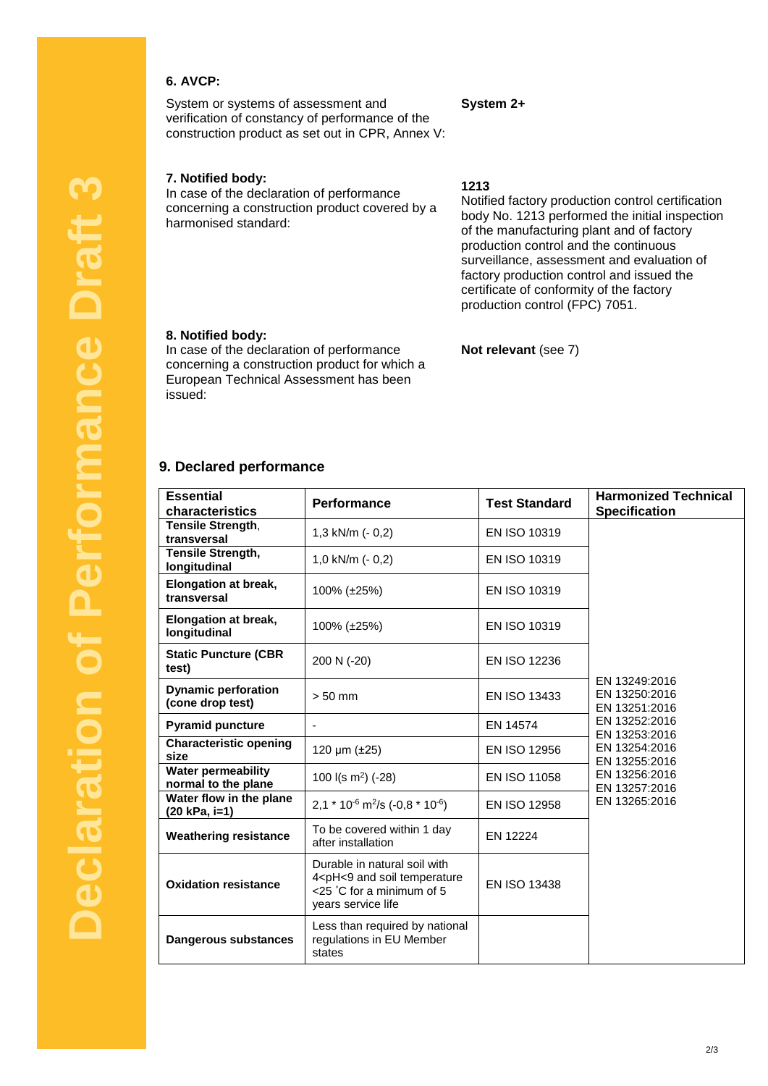# **6. AVCP:**

System or systems of assessment and verification of constancy of performance of the construction product as set out in CPR, Annex V:

## **7. Notified body:**

In case of the declaration of performance concerning a construction product covered by a harmonised standard:

**1213**

**System 2+**

Notified factory production control certification body No. 1213 performed the initial inspection of the manufacturing plant and of factory production control and the continuous surveillance, assessment and evaluation of factory production control and issued the certificate of conformity of the factory production control (FPC) 7051.

#### **8. Notified body:**

In case of the declaration of performance concerning a construction product for which a European Technical Assessment has been issued:

## **Not relevant** (see 7)

## **9. Declared performance**

| <b>Essential</b><br>characteristics              | <b>Performance</b>                                                                                                                               | <b>Test Standard</b> | <b>Harmonized Technical</b><br><b>Specification</b>                                                                 |
|--------------------------------------------------|--------------------------------------------------------------------------------------------------------------------------------------------------|----------------------|---------------------------------------------------------------------------------------------------------------------|
| Tensile Strength,<br>transversal                 | 1,3 kN/m (- 0,2)                                                                                                                                 | EN ISO 10319         | EN 13249:2016<br>EN 13250:2016<br>EN 13251:2016<br>EN 13252:2016<br>EN 13253:2016<br>EN 13254:2016<br>EN 13255:2016 |
| <b>Tensile Strength,</b><br>longitudinal         | 1,0 kN/m (- 0,2)                                                                                                                                 | EN ISO 10319         |                                                                                                                     |
| <b>Elongation at break,</b><br>transversal       | 100% (±25%)                                                                                                                                      | EN ISO 10319         |                                                                                                                     |
| Elongation at break,<br>longitudinal             | 100% (±25%)                                                                                                                                      | EN ISO 10319         |                                                                                                                     |
| <b>Static Puncture (CBR</b><br>test)             | 200 N (-20)                                                                                                                                      | <b>EN ISO 12236</b>  |                                                                                                                     |
| <b>Dynamic perforation</b><br>(cone drop test)   | $> 50$ mm                                                                                                                                        | <b>EN ISO 13433</b>  |                                                                                                                     |
| <b>Pyramid puncture</b>                          |                                                                                                                                                  | EN 14574             |                                                                                                                     |
| <b>Characteristic opening</b><br>size            | 120 µm (±25)                                                                                                                                     | EN ISO 12956         |                                                                                                                     |
| <b>Water permeability</b><br>normal to the plane | 100 $I(s \, m^2)$ (-28)                                                                                                                          | EN ISO 11058         | EN 13256:2016<br>EN 13257:2016                                                                                      |
| Water flow in the plane<br>(20 kPa, i=1)         | $2.1 * 10^{-6}$ m <sup>2</sup> /s (-0.8 * 10 <sup>-6</sup> )                                                                                     | EN ISO 12958         | EN 13265:2016                                                                                                       |
| <b>Weathering resistance</b>                     | To be covered within 1 day<br>after installation                                                                                                 | EN 12224             |                                                                                                                     |
| <b>Oxidation resistance</b>                      | Durable in natural soil with<br>4 <ph<9 and="" soil="" temperature<br=""><math>&lt;</math>25 °C for a minimum of 5<br/>years service life</ph<9> | EN ISO 13438         |                                                                                                                     |
| Dangerous substances                             | Less than required by national<br>regulations in EU Member<br>states                                                                             |                      |                                                                                                                     |